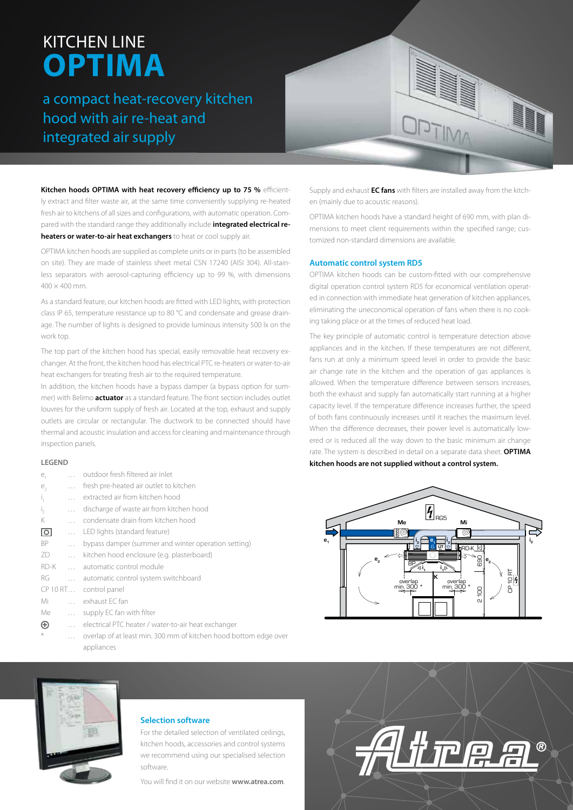# KITCHEN LINE **OPTIMA**

a compact heat-recovery kitchen hood with air re-heat and integrated air supply



**Kitchen hoods OPTIMA with heat recovery efficiency up to 75 %** efficiently extract and filter waste air, at the same time conveniently supplying re-heated fresh air to kitchens of all sizes and configurations, with automatic operation. Compared with the standard range they additionally include **integrated electrical reheaters or water-to-air heat exchangers** to heat or cool supply air.

OPTIMA kitchen hoods are supplied as complete units or in parts (to be assembled on site). They are made of stainless sheet metal CSN 17240 (AISI 304). All-stainless separators with aerosol-capturing efficiency up to 99 %, with dimensions  $400 \times 400$  mm.

As a standard feature, our kitchen hoods are fitted with LED lights, with protection class IP 65, temperature resistance up to 80 °C and condensate and grease drainage. The number of lights is designed to provide luminous intensity 500 lx on the work top.

The top part of the kitchen hood has special, easily removable heat recovery exchanger. At the front, the kitchen hood has electrical PTC re-heaters or water-to-air heat exchangers for treating fresh air to the required temperature.

In addition, the kitchen hoods have a bypass damper (a bypass option for summer) with Belimo **actuator** as a standard feature. The front section includes outlet louvres for the uniform supply of fresh air. Located at the top, exhaust and supply outlets are circular or rectangular. The ductwork to be connected should have thermal and acoustic insulation and access for cleaning and maintenance through inspection panels.

#### **LEGEND**

| e,                 |              | outdoor fresh filtered air inlet                                 |
|--------------------|--------------|------------------------------------------------------------------|
| e,                 | $\cdots$     | fresh pre-heated air outlet to kitchen                           |
| Т,                 | $\ddotsc$    | extracted air from kitchen hood                                  |
| $\mathbf{I}_{2}$   | $\cdots$     | discharge of waste air from kitchen hood                         |
| Κ                  | $\cdots$     | condensate drain from kitchen hood                               |
| $\overline{\circ}$ | $\cdots$     | LED lights (standard feature)                                    |
| ВP                 | $\cdots$     | bypass damper (summer and winter operation setting)              |
| ZD                 | $\ldots$     | kitchen hood enclosure (e.g. plasterboard)                       |
| RD-K               |              | automatic control module                                         |
| RG                 | $\cdots$     | automatic control system switchboard                             |
|                    |              | CP 10 RT control panel                                           |
| Mi                 |              | exhaust EC fan                                                   |
| Me                 | $\cdots$     | supply EC fan with filter                                        |
| $\oplus$           | $\mathbf{r}$ | electrical PTC heater / water-to-air heat exchanger              |
| $\ast$             | $\cdots$     | overlap of at least min. 300 mm of kitchen hood bottom edge over |
|                    |              | appliances                                                       |

Supply and exhaust **EC fans** with filters are installed away from the kitchen (mainly due to acoustic reasons).

OPTIMA kitchen hoods have a standard height of 690 mm, with plan dimensions to meet client requirements within the specified range; customized non-standard dimensions are available.

#### **Automatic control system RD5**

OPTIMA kitchen hoods can be custom-fitted with our comprehensive digital operation control system RD5 for economical ventilation operated in connection with immediate heat generation of kitchen appliances, eliminating the uneconomical operation of fans when there is no cooking taking place or at the times of reduced heat load.

The key principle of automatic control is temperature detection above appliances and in the kitchen. If these temperatures are not different, fans run at only a minimum speed level in order to provide the basic air change rate in the kitchen and the operation of gas appliances is allowed. When the temperature difference between sensors increases, both the exhaust and supply fan automatically start running at a higher capacity level. If the temperature difference increases further, the speed of both fans continuously increases until it reaches the maximum level. When the difference decreases, their power level is automatically lowered or is reduced all the way down to the basic minimum air change rate. The system is described in detail on a separate data sheet. **OPTIMA kitchen hoods are not supplied without a control system.**





#### **Selection software**

For the detailed selection of ventilated ceilings, kitchen hoods, accessories and control systems we recommend using our specialised selection software.

You will find it on our website **www.atrea.com**.

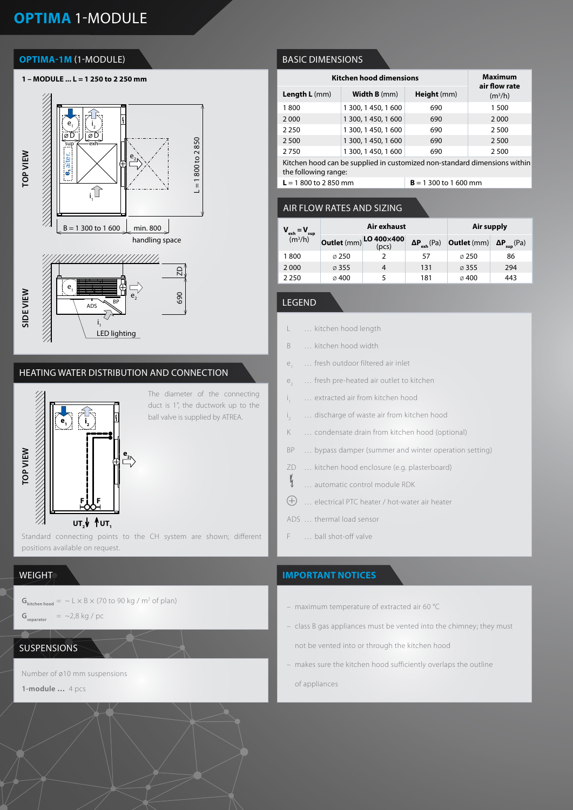# **OPTIMA** 1-MODULE

## **OPTIMA-1M** (1-MODULE)



## HEATING WATER DISTRIBUTION AND CONNECTION



The diameter of the connecting duct is 1", the ductwork up to the ball valve is supplied by ATREA.

#### Standard connecting points to the CH system are shown; different  $\begin{bmatrix} 1 \\ 1 \end{bmatrix}$  F ... ball shot-off valve positions available on request.

## **WEIGHT**

 $\mathbf{G}_{\text{kitchen hood}} = \text{ and } \text{L} \times \text{B} \times (70 \text{ to } 90 \text{ kg} / \text{m}^2 \text{ of plan})$ 

```
G_{\text{separation}} = ~2,8 kg / pc
```
## SUSPENSIONS

Number of ø10 mm suspensions

**1-module …** 4 pcs

## BASIC DIMENSIONS

| <b>Kitchen hood dimensions</b>                                            | <b>Maximum</b><br>air flow rate |             |           |  |  |
|---------------------------------------------------------------------------|---------------------------------|-------------|-----------|--|--|
| Length L (mm)                                                             | <b>Width B</b> (mm)             | Height (mm) | $(m^3/h)$ |  |  |
| 1800                                                                      | 1 300, 1 450, 1 600             | 690         | 1 500     |  |  |
| 2000                                                                      | 1 300, 1 450, 1 600             | 690         | 2 0 0 0   |  |  |
| 2 2 5 0                                                                   | 1 300, 1 450, 1 600             | 690         | 2500      |  |  |
| 2 5 0 0                                                                   | 1 300, 1 450, 1 600             | 690         | 2 500     |  |  |
| 2750                                                                      | 1 300, 1 450, 1 600             | 690         | 2500      |  |  |
| Kitchen hood can be supplied in customized non-standard dimensions within |                                 |             |           |  |  |

Kitchen hood can be supplied in customized non-standard dimensions within the following range:

 $L = 1800$  to 2850 mm **B** = 1300 to 1600 mm

## AIR FLOW RATES AND SIZING

| $V_{\text{exh}} = V_{\text{sup}}$<br>(m <sup>3</sup> /h) |                   | Air exhaust                     | Air supply            |                    |                             |
|----------------------------------------------------------|-------------------|---------------------------------|-----------------------|--------------------|-----------------------------|
|                                                          |                   | Outlet (mm) LO 400×400<br>(pcs) | $\Delta P_{exh}$ (Pa) | <b>Outlet</b> (mm) | $\Delta P_{\text{sup}}(Pa)$ |
| 1800                                                     | $\varnothing$ 250 |                                 | 57                    | $\varnothing$ 250  | 86                          |
| 2 0 0 0                                                  | $\varnothing$ 355 | 4                               | 131                   | $\varnothing$ 355  | 294                         |
| 2 2 5 0                                                  | $\varnothing$ 400 | 5                               | 181                   | $\varnothing$ 400  | 443                         |

## LEGEND

i

i

 $\mathfrak{h}$ 

- L … kitchen hood length
- B … kitchen hood width
- e<sub>1</sub> … fresh outdoor filtered air inlet
- e<sub>3</sub> ... fresh pre-heated air outlet to kitchen
	- ... extracted air from kitchen hood
	- ... discharge of waste air from kitchen hood
- K … condensate drain from kitchen hood (optional)
- BP … bypass damper (summer and winter operation setting)
- ZD … kitchen hood enclosure (e.g. plasterboard)
	- … automatic control module RDK
- $\bigoplus$ … electrical PTC heater / hot-water air heater
- ADS … thermal load sensor
- 

## **IMPORTANT NOTICES**

- maximum temperature of extracted air 60 °C
- class B gas appliances must be vented into the chimney; they must
	- not be vented into or through the kitchen hood
- makes sure the kitchen hood sufficiently overlaps the outline

of appliances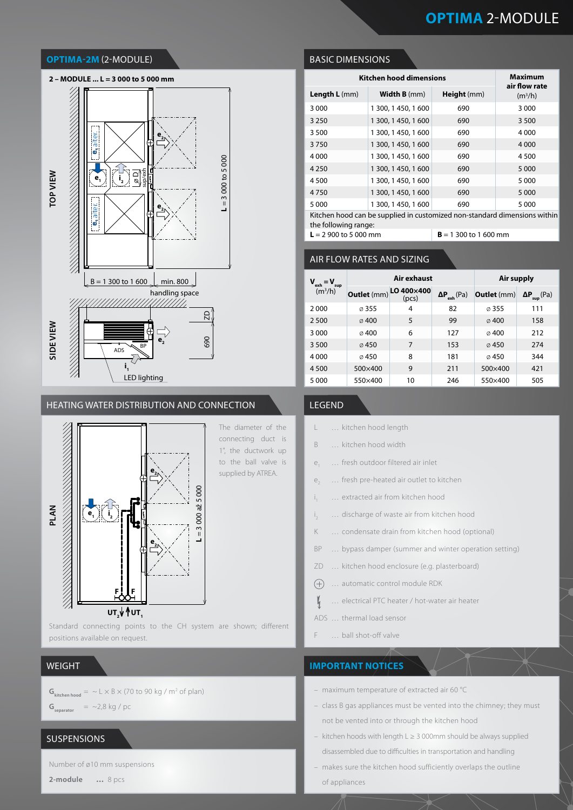# **OPTIMA** 2-MODULE

#### **OPTIMA-2M** (2-MODULE)



#### HEATING WATER DISTRIBUTION AND CONNECTION LEGEND



Standard connecting points to the CH system are shown; different positions available on request.

#### WEIGHT

 $G_{\text{kitchen hood}} = \sim L \times B \times (70 \text{ to } 90 \text{ kg} / \text{m}^2 \text{ of plan})$  $G_{\text{separation}}$  = ~2,8 kg / pc

## SUSPENSIONS

Number of ø10 mm suspensions

**2-module …** 8 pcs

BASIC DIMENSIONS

| <b>Kitchen hood dimensions</b>                                            | <b>Maximum</b>      |             |                            |  |  |  |
|---------------------------------------------------------------------------|---------------------|-------------|----------------------------|--|--|--|
| Length L (mm)                                                             | <b>Width B</b> (mm) | Height (mm) | air flow rate<br>$(m^3/h)$ |  |  |  |
| 3 0 0 0                                                                   | 1 300, 1 450, 1 600 | 690         | 3 0 0 0                    |  |  |  |
| 3 2 5 0                                                                   | 1 300, 1 450, 1 600 | 690         | 3 5 0 0                    |  |  |  |
| 3 5 0 0                                                                   | 1 300, 1 450, 1 600 | 690         | 4 0 0 0                    |  |  |  |
| 3750                                                                      | 1 300, 1 450, 1 600 | 690         | 4 0 0 0                    |  |  |  |
| 4 0 0 0                                                                   | 1 300, 1 450, 1 600 | 690         | 4 5 0 0                    |  |  |  |
| 4 2 5 0                                                                   | 1 300, 1 450, 1 600 | 690         | 5 0 0 0                    |  |  |  |
| 4 500                                                                     | 1 300, 1 450, 1 600 | 690         | 5 0 0 0                    |  |  |  |
| 4750                                                                      | 1 300, 1 450, 1 600 | 690         | 5 0 0 0                    |  |  |  |
| 5 0 0 0                                                                   | 1 300, 1 450, 1 600 | 690         | 5 0 0 0                    |  |  |  |
| Kitchen bood can be supplied in customized non-standard dimensions within |                     |             |                            |  |  |  |

Kitchen hood can be supplied in customized non-standard dimensions within the following range:  $L = 2900$  to 5 000 mm **B** = 1 300 to 1 600 mm

# AIR FLOW RATES AND SIZING

| $V_{ext} = V_{ext}$<br>sup<br>(m <sup>3</sup> /h) | Air exhaust       |                     |                       | Air supply         |                             |
|---------------------------------------------------|-------------------|---------------------|-----------------------|--------------------|-----------------------------|
|                                                   | Outlet (mm)       | LO 400×400<br>(pcs) | $\Delta P_{exh}$ (Pa) | <b>Outlet</b> (mm) | $\Delta P_{\text{sup}}(Pa)$ |
| 2000                                              | $\varnothing$ 355 | 4                   | 82                    | $\varnothing$ 355  | 111                         |
| 2 500                                             | $\varnothing$ 400 | 5                   | 99                    | $\varnothing$ 400  | 158                         |
| 3 0 0 0                                           | $\oslash$ 400     | 6                   | 127                   | $\varnothing$ 400  | 212                         |
| 3 500                                             | $\varnothing$ 450 | 7                   | 153                   | $\varnothing$ 450  | 274                         |
| 4 0 0 0                                           | 0.450             | 8                   | 181                   | 0.450              | 344                         |
| 4 5 0 0                                           | 500×400           | 9                   | 211                   | 500×400            | 421                         |
| 5 0 0 0                                           | 550×400           | 10                  | 246                   | 550×400            | 505                         |

- L … kitchen hood length
- B … kitchen hood width
- e<sub>1</sub> … fresh outdoor filtered air inlet
- e<sub>2</sub> ... fresh pre-heated air outlet to kitchen
- i ... extracted air from kitchen hood
- i ... discharge of waste air from kitchen hood
- K … condensate drain from kitchen hood (optional)
- BP … bypass damper (summer and winter operation setting)
- ZD … kitchen hood enclosure (e.g. plasterboard)
- $(+)$ … automatic control module RDK
	- … electrical PTC heater / hot-water air heater
- ADS … thermal load sensor

 $\mathbf{V}_{\mathbf{q}}$ 

F … ball shot-off valve

#### **IMPORTANT NOTICES**

- maximum temperature of extracted air 60 °C
- class B gas appliances must be vented into the chimney; they must not be vented into or through the kitchen hood
- kitchen hoods with length L ≥ 3 000mm should be always supplied disassembled due to difficulties in transportation and handling
- makes sure the kitchen hood sufficiently overlaps the outline of appliances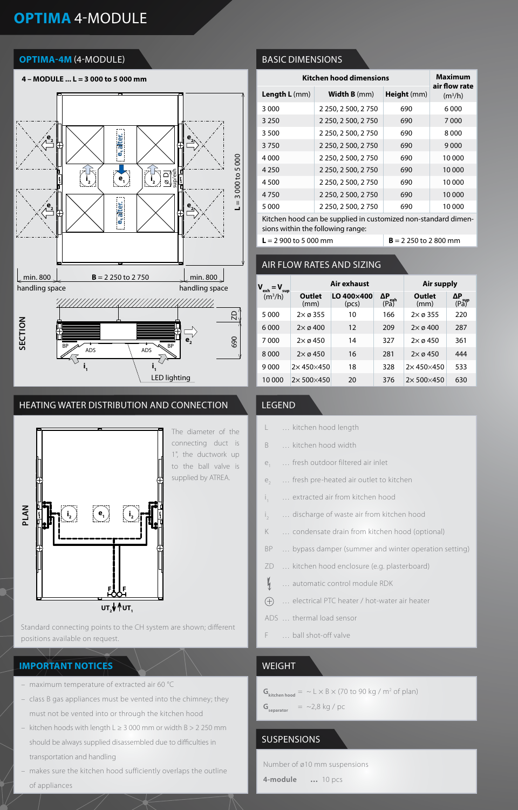# **OPTIMA** 4-MODULE

## **OPTIMA-4M** (4-MODULE)



## HEATING WATER DISTRIBUTION AND CONNECTION



Standard connecting points to the CH system are shown; different positions available on request.

## **IMPORTANT NOTICES** WEIGHT

- maximum temperature of extracted air 60 °C
- class B gas appliances must be vented into the chimney; they must not be vented into or through the kitchen hood
- kitchen hoods with length L ≥ 3 000 mm or width B > 2 250 mm should be always supplied disassembled due to difficulties in transportation and handling
- makes sure the kitchen hood sufficiently overlaps the outline of appliances

## BASIC DIMENSIONS

| <b>Kitchen hood dimensions</b> | <b>Maximum</b><br>air flow rate |             |        |
|--------------------------------|---------------------------------|-------------|--------|
| Length L (mm)                  | <b>Width B</b> (mm)             | Height (mm) |        |
| 3 0 0 0                        | 2 250, 2 500, 2 750             | 690         | 6000   |
| 3 2 5 0                        | 2 250, 2 500, 2 750             | 690         | 7000   |
| 3 500                          | 2 250, 2 500, 2 750             | 690         | 8000   |
| 3750                           | 2 250, 2 500, 2 750             | 690         | 9000   |
| 4000                           | 2 250, 2 500, 2 750             | 690         | 10 000 |
| 4 2 5 0                        | 2 250, 2 500, 2 750             | 690         | 10 000 |
| 4500                           | 2 250, 2 500, 2 750             | 690         | 10 000 |
| 4750                           | 2 250, 2 500, 2 750             | 690         | 10 000 |
| 5 0 0 0                        | 2 250, 2 500, 2 750             | 690         | 10 000 |
|                                |                                 |             |        |

Kitchen hood can be supplied in customized non-standard dimensions within the following range:

# $L = 2900$  to 5 000 mm

| AIR FLOW RATES AND SIZING         |                            |                     |                                                 |                           |                            |  |
|-----------------------------------|----------------------------|---------------------|-------------------------------------------------|---------------------------|----------------------------|--|
| exh<br>sup<br>(m <sup>3</sup> /h) |                            | Air exhaust         | Air supply                                      |                           |                            |  |
|                                   | Outlet<br>(mm)             | LO 400×400<br>(pcs) | ΔP<br>$\overline{(\overline{Pa})}^{\text{exh}}$ | Outlet<br>(mm)            | ΔΡ<br>$(P_0^{\text{sup}})$ |  |
| 5000                              | $2\times \varnothing 355$  | 10                  | 166                                             | $2\times \varnothing 355$ | 220                        |  |
| 6000                              | $2\times \emptyset$ 400    | 12                  | 209                                             | $2\times \varnothing 400$ | 287                        |  |
| 7000                              | $2\times \varnothing 450$  | 14                  | 327                                             | $2\times \varnothing 450$ | 361                        |  |
| 8000                              | $2\times \varnothing 450$  | 16                  | 281                                             | $2\times \varnothing 450$ | 444                        |  |
| 9000                              | $2\times$ 450 $\times$ 450 | 18                  | 328                                             | $2\times 450\times 450$   | 533                        |  |
| 10 000                            | $2\times 500\times 450$    | 20                  | 376                                             | $2\times 500\times 450$   | 630                        |  |

## LEGEND

- L … kitchen hood length
- B … kitchen hood width
- e<sub>1</sub> ... fresh outdoor filtered air inlet
- e<sub>3</sub> ... fresh pre-heated air outlet to kitchen
- i ... extracted air from kitchen hood
- i ... discharge of waste air from kitchen hood
- K … condensate drain from kitchen hood (optional)
- BP … bypass damper (summer and winter operation setting)
- ZD … kitchen hood enclosure (e.g. plasterboard)
- $\mathbf{V}_{1}$ … automatic control module RDK
- … electrical PTC heater / hot-water air heater  $\bigoplus$
- ADS … thermal load sensor
- F … ball shot-off valve

- $G_{\text{kitchen hood}} = \sim L \times B \times (70 \text{ to } 90 \text{ kg} / \text{m}^2 \text{ of plan})$
- $G_{\text{separation}}$  = ~2,8 kg / pc

## **SUSPENSIONS**

Number of ø10 mm suspensions

**4-module …** 10 pcs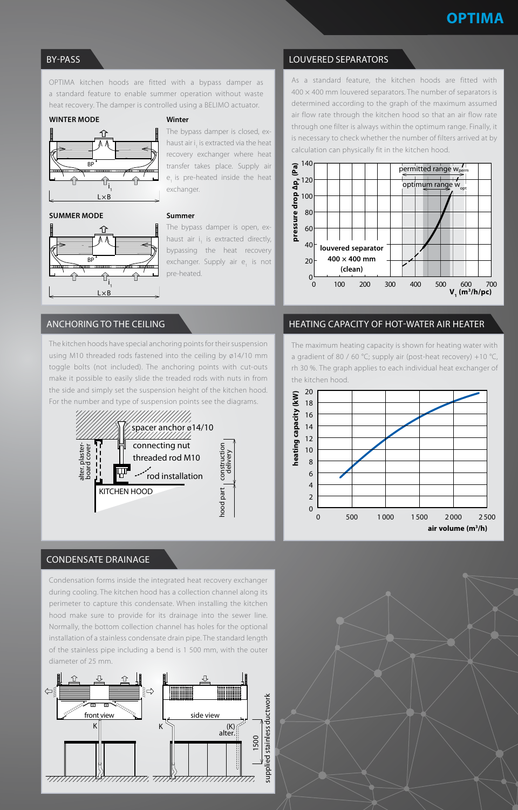## BY-PASS

OPTIMA kitchen hoods are fitted with a bypass damper as a standard feature to enable summer operation without waste heat recovery. The damper is controlled using a BELIMO actuator.

#### **WINTER MODE**



## The bypass damper is closed, exhaust air i<sub>1</sub> is extracted via the heat recovery exchanger where heat transfer takes place. Supply air

#### **SUMMER MODE**



#### **Summer**

exchanger.

**Winter**

The bypass damper is open, exhaust air  $i_1$  is extracted directly, bypassing the heat recovery exchanger. Supply air e<sub>1</sub> is not pre-heated.

e, is pre-heated inside the heat

## ANCHORING TO THE CEILING

The kitchen hoods have special anchoring points for their suspension using M10 threaded rods fastened into the ceiling by ø14/10 mm toggle bolts (not included). The anchoring points with cut-outs make it possible to easily slide the treaded rods with nuts in from the side and simply set the suspension height of the kitchen hood. For the number and type of suspension points see the diagrams.



### CONDENSATE DRAINAGE

Condensation forms inside the integrated heat recovery exchanger during cooling. The kitchen hood has a collection channel along its perimeter to capture this condensate. When installing the kitchen hood make sure to provide for its drainage into the sewer line. Normally, the bottom collection channel has holes for the optional installation of a stainless condensate drain pipe. The standard length of the stainless pipe including a bend is 1 500 mm, with the outer diameter of 25 mm.



## LOUVERED SEPARATORS

As a standard feature, the kitchen hoods are fitted with  $400 \times 400$  mm louvered separators. The number of separators is determined according to the graph of the maximum assumed air flow rate through the kitchen hood so that an air flow rate through one filter is always within the optimum range. Finally, it is necessary to check whether the number of filters arrived at by calculation can physically fit in the kitchen hood.



## HEATING CAPACITY OF HOT-WATER AIR HEATER

The maximum heating capacity is shown for heating water with a gradient of 80 / 60 °C; supply air (post-heat recovery) +10 °C, rh 30 %. The graph applies to each individual heat exchanger of the kitchen hood.